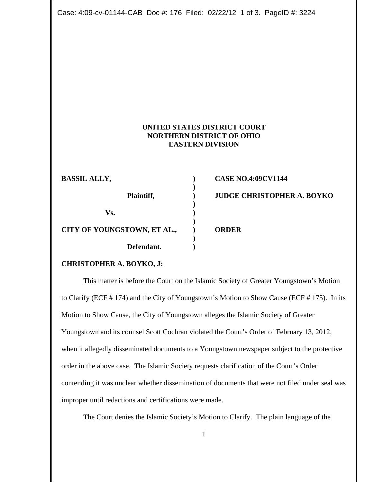Case: 4:09-cv-01144-CAB Doc #: 176 Filed: 02/22/12 1 of 3. PageID #: 3224

## **UNITED STATES DISTRICT COURT NORTHERN DISTRICT OF OHIO EASTERN DIVISION**

| <b>BASSIL ALLY,</b>         | <b>CASE NO.4:09CV1144</b>         |
|-----------------------------|-----------------------------------|
| Plaintiff,                  | <b>JUDGE CHRISTOPHER A. BOYKO</b> |
| Vs.                         |                                   |
| CITY OF YOUNGSTOWN, ET AL., | <b>ORDER</b>                      |
| Defendant.                  |                                   |

## **CHRISTOPHER A. BOYKO, J:**

This matter is before the Court on the Islamic Society of Greater Youngstown's Motion to Clarify (ECF # 174) and the City of Youngstown's Motion to Show Cause (ECF # 175). In its Motion to Show Cause, the City of Youngstown alleges the Islamic Society of Greater Youngstown and its counsel Scott Cochran violated the Court's Order of February 13, 2012, when it allegedly disseminated documents to a Youngstown newspaper subject to the protective order in the above case. The Islamic Society requests clarification of the Court's Order contending it was unclear whether dissemination of documents that were not filed under seal was improper until redactions and certifications were made.

The Court denies the Islamic Society's Motion to Clarify. The plain language of the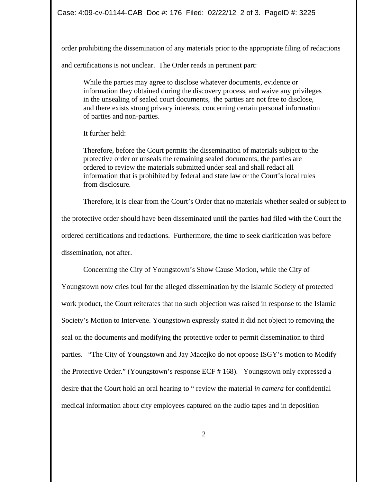order prohibiting the dissemination of any materials prior to the appropriate filing of redactions and certifications is not unclear. The Order reads in pertinent part:

While the parties may agree to disclose whatever documents, evidence or information they obtained during the discovery process, and waive any privileges in the unsealing of sealed court documents, the parties are not free to disclose, and there exists strong privacy interests, concerning certain personal information of parties and non-parties.

It further held:

Therefore, before the Court permits the dissemination of materials subject to the protective order or unseals the remaining sealed documents, the parties are ordered to review the materials submitted under seal and shall redact all information that is prohibited by federal and state law or the Court's local rules from disclosure.

Therefore, it is clear from the Court's Order that no materials whether sealed or subject to the protective order should have been disseminated until the parties had filed with the Court the ordered certifications and redactions. Furthermore, the time to seek clarification was before dissemination, not after.

Concerning the City of Youngstown's Show Cause Motion, while the City of Youngstown now cries foul for the alleged dissemination by the Islamic Society of protected work product, the Court reiterates that no such objection was raised in response to the Islamic Society's Motion to Intervene. Youngstown expressly stated it did not object to removing the seal on the documents and modifying the protective order to permit dissemination to third parties. "The City of Youngstown and Jay Macejko do not oppose ISGY's motion to Modify the Protective Order." (Youngstown's response ECF # 168). Youngstown only expressed a desire that the Court hold an oral hearing to " review the material *in camera* for confidential medical information about city employees captured on the audio tapes and in deposition